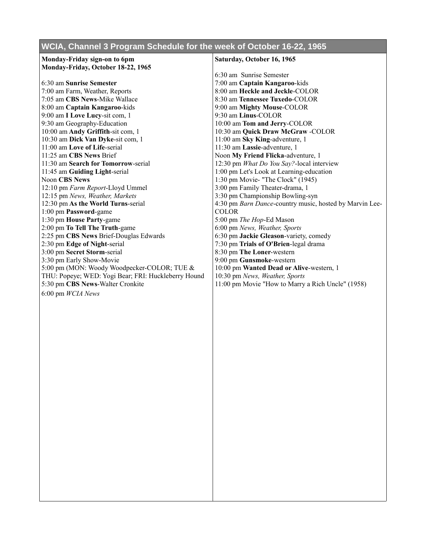## **WCIA, Channel 3 Program Schedule for the week of October 16-22, 1965**

## **Monday-Friday sign-on to 6pm Monday-Friday, October 18-22, 1965** 6:30 am **Sunrise Semester** 7:00 am Farm, Weather, Reports 7:05 am **CBS News**-Mike Wallace 8:00 am **Captain Kangaroo**-kids 9:00 am **I Love Lucy**-sit com, 1 9:30 am Geography-Education 10:00 am **Andy Griffith**-sit com, 1 10:30 am **Dick Van Dyke**-sit com, 1 11:00 am **Love of Life**-serial 11:25 am **CBS News** Brief 11:30 am **Search for Tomorrow**-serial 11:45 am **Guiding Light**-serial Noon **CBS News** 12:10 pm *Farm Report*-Lloyd Ummel 12:15 pm *News, Weather, Markets* 12:30 pm **As the World Turns**-serial 1:00 pm **Password**-game 1:30 pm **House Party**-game **COLOR**

2:00 pm **To Tell The Truth**-game 2:25 pm **CBS News** Brief-Douglas Edwards 2:30 pm **Edge of Night**-serial 3:00 pm **Secret Storm**-serial 3:30 pm Early Show-Movie 5:00 pm (MON: Woody Woodpecker-COLOR; TUE & THU: Popeye; WED: Yogi Bear; FRI: Huckleberry Hound 5:30 pm **CBS News**-Walter Cronkite

6:00 pm *WCIA News*

## **Saturday, October 16, 1965**

6:30 am Sunrise Semester 7:00 am **Captain Kangaroo**-kids 8:00 am **Heckle and Jeckle**-COLOR 8:30 am **Tennessee Tuxedo**-COLOR 9:00 am **Mighty Mouse**-COLOR 9:30 am **Linus**-COLOR 10:00 am **Tom and Jerry**-COLOR 10:30 am **Quick Draw McGraw** -COLOR 11:00 am **Sky King**-adventure, 1 11:30 am **Lassie**-adventure, 1 Noon **My Friend Flicka**-adventure, 1 12:30 pm *What Do You Say?*-local interview 1:00 pm Let's Look at Learning-education 1:30 pm Movie- "The Clock" (1945) 3:00 pm Family Theater-drama, 1 3:30 pm Championship Bowling-syn 4:30 pm *Barn Dance*-country music, hosted by Marvin Lee-5:00 pm *The Hop*-Ed Mason 6:00 pm *News, Weather, Sports* 6:30 pm **Jackie Gleason**-variety, comedy 7:30 pm **Trials of O'Brien**-legal drama 8:30 pm **The Loner**-western 9:00 pm **Gunsmoke**-western 10:00 pm **Wanted Dead or Alive**-western, 1 10:30 pm *News, Weather, Sports* 11:00 pm Movie "How to Marry a Rich Uncle" (1958)